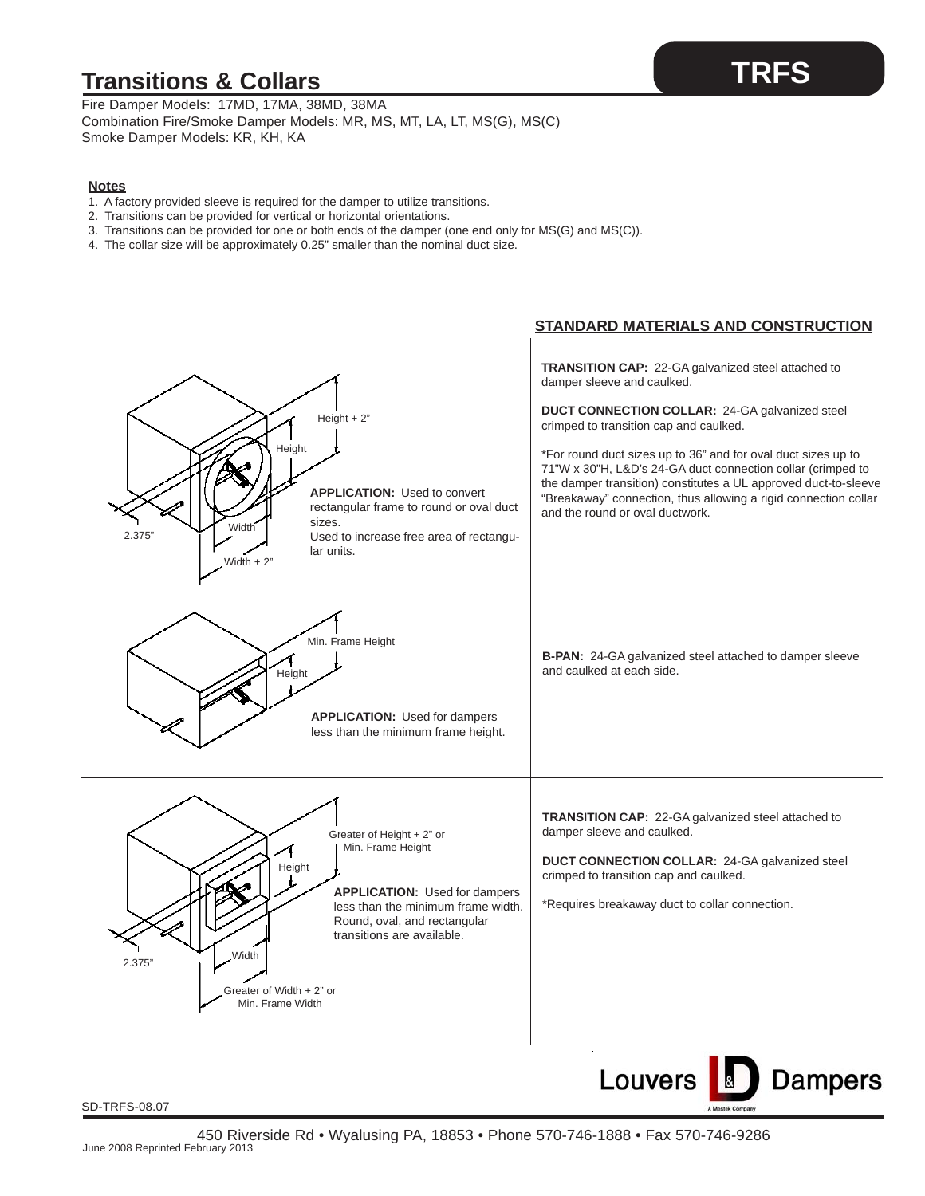## **Transitions & Collars**

Fire Damper Models: 17MD, 17MA, 38MD, 38MA Combination Fire/Smoke Damper Models: MR, MS, MT, LA, LT, MS(G), MS(C) Smoke Damper Models: KR, KH, KA

#### **Notes**

- 1. A factory provided sleeve is required for the damper to utilize transitions.
- 2. Transitions can be provided for vertical or horizontal orientations.
- 3. Transitions can be provided for one or both ends of the damper (one end only for MS(G) and MS(C)).
- 4. The collar size will be approximately 0.25" smaller than the nominal duct size.

### **STANDARD MATERIALS AND CONSTRUCTION TRANSITION CAP:** 22-GA galvanized steel attached to damper sleeve and caulked. **DUCT CONNECTION COLLAR:** 24-GA galvanized steel Height + 2" crimped to transition cap and caulked. **Height** \*For round duct sizes up to 36" and for oval duct sizes up to 71"W x 30"H, L&D's 24-GA duct connection collar (crimped to the damper transition) constitutes a UL approved duct-to-sleeve **APPLICATION:** Used to convert "Breakaway" connection, thus allowing a rigid connection collar rectangular frame to round or oval duct and the round or oval ductwork. sizes.  $\sum_{2.375}$ " Width Used to increase free area of rectangular units. Width  $+ 2$ <sup>"</sup> Min. Frame Height **B-PAN:** 24-GA galvanized steel attached to damper sleeve and caulked at each side. Height **APPLICATION:** Used for dampers less than the minimum frame height. **TRANSITION CAP:** 22-GA galvanized steel attached to damper sleeve and caulked. Greater of Height + 2" or Min. Frame Height **DUCT CONNECTION COLLAR:** 24-GA galvanized steel Height crimped to transition cap and caulked. **APPLICATION:** Used for dampers \*Requires breakaway duct to collar connection. less than the minimum frame width. Round, oval, and rectangular transitions are available. 2.375" Width Greater of Width + 2" or Min. Frame Width Louvers **Dampers**

SD-TRFS-08.07

## **TRFS**